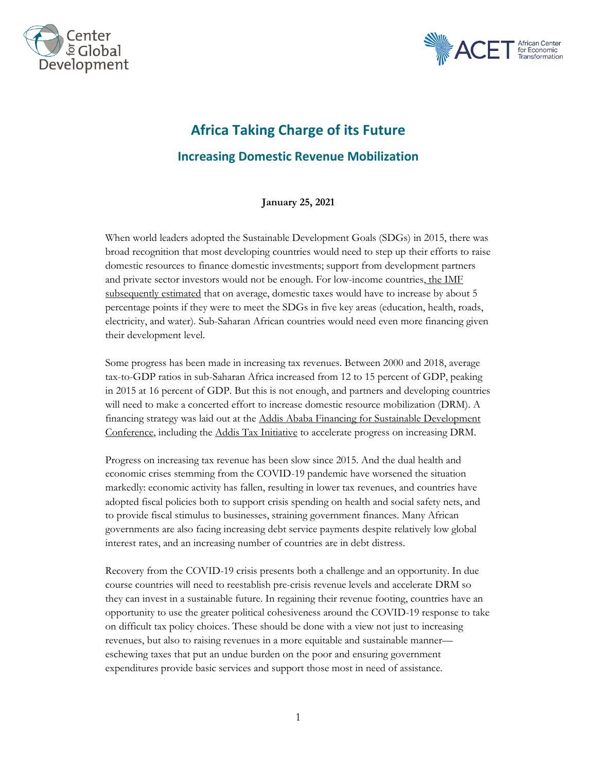



## **Africa Taking Charge of its Future Increasing Domestic Revenue Mobilization**

**January 25, 2021**

When world leaders adopted the Sustainable Development Goals (SDGs) in 2015, there was broad recognition that most developing countries would need to step up their efforts to raise domestic resources to finance domestic investments; support from development partners and private sector investors would not be enough. For low-income countries, the IMF [subsequently estimated](https://www.imf.org/en/Publications/Staff-Discussion-Notes/Issues/2019/01/18/Fiscal-Policy-and-Development-Human-Social-and-Physical-Investments-for-the-SDGs-46444) that on average, domestic taxes would have to increase by about 5 percentage points if they were to meet the SDGs in five key areas (education, health, roads, electricity, and water). Sub-Saharan African countries would need even more financing given their development level.

Some progress has been made in increasing tax revenues. Between 2000 and 2018, average tax-to-GDP ratios in sub-Saharan Africa increased from 12 to 15 percent of GDP, peaking in 2015 at 16 percent of GDP. But this is not enough, and partners and developing countries will need to make a concerted effort to increase domestic resource mobilization (DRM). A financing strategy was laid out at the [Addis Ababa Financing for Sustainable Development](https://www.un.org/sustainabledevelopment/financing-for-development/#:~:text=What%20is%20Financing%20for%20Development,economic%2C%20social%20and%20environmental%20priorities.)  [Conference,](https://www.un.org/sustainabledevelopment/financing-for-development/#:~:text=What%20is%20Financing%20for%20Development,economic%2C%20social%20and%20environmental%20priorities.) including th[e Addis Tax Initiative](https://www.addistaxinitiative.net/about) to accelerate progress on increasing DRM.

Progress on increasing tax revenue has been slow since 2015. And the dual health and economic crises stemming from the COVID-19 pandemic have worsened the situation markedly: economic activity has fallen, resulting in lower tax revenues, and countries have adopted fiscal policies both to support crisis spending on health and social safety nets, and to provide fiscal stimulus to businesses, straining government finances. Many African governments are also facing increasing debt service payments despite relatively low global interest rates, and an increasing number of countries are in debt distress.

Recovery from the COVID-19 crisis presents both a challenge and an opportunity. In due course countries will need to reestablish pre-crisis revenue levels and accelerate DRM so they can invest in a sustainable future. In regaining their revenue footing, countries have an opportunity to use the greater political cohesiveness around the COVID-19 response to take on difficult tax policy choices. These should be done with a view not just to increasing revenues, but also to raising revenues in a more equitable and sustainable manner eschewing taxes that put an undue burden on the poor and ensuring government expenditures provide basic services and support those most in need of assistance.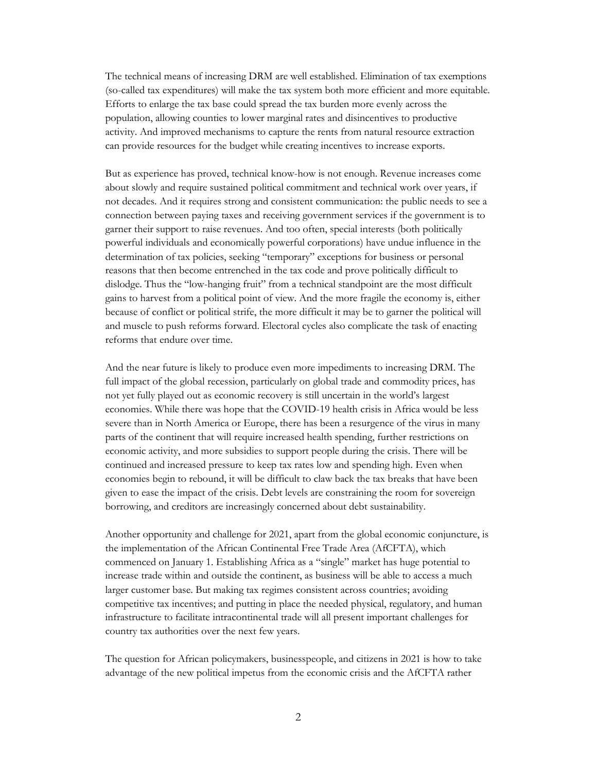The technical means of increasing DRM are well established. Elimination of tax exemptions (so-called tax expenditures) will make the tax system both more efficient and more equitable. Efforts to enlarge the tax base could spread the tax burden more evenly across the population, allowing counties to lower marginal rates and disincentives to productive activity. And improved mechanisms to capture the rents from natural resource extraction can provide resources for the budget while creating incentives to increase exports.

But as experience has proved, technical know-how is not enough. Revenue increases come about slowly and require sustained political commitment and technical work over years, if not decades. And it requires strong and consistent communication: the public needs to see a connection between paying taxes and receiving government services if the government is to garner their support to raise revenues. And too often, special interests (both politically powerful individuals and economically powerful corporations) have undue influence in the determination of tax policies, seeking "temporary" exceptions for business or personal reasons that then become entrenched in the tax code and prove politically difficult to dislodge. Thus the "low-hanging fruit" from a technical standpoint are the most difficult gains to harvest from a political point of view. And the more fragile the economy is, either because of conflict or political strife, the more difficult it may be to garner the political will and muscle to push reforms forward. Electoral cycles also complicate the task of enacting reforms that endure over time.

And the near future is likely to produce even more impediments to increasing DRM. The full impact of the global recession, particularly on global trade and commodity prices, has not yet fully played out as economic recovery is still uncertain in the world's largest economies. While there was hope that the COVID-19 health crisis in Africa would be less severe than in North America or Europe, there has been a resurgence of the virus in many parts of the continent that will require increased health spending, further restrictions on economic activity, and more subsidies to support people during the crisis. There will be continued and increased pressure to keep tax rates low and spending high. Even when economies begin to rebound, it will be difficult to claw back the tax breaks that have been given to ease the impact of the crisis. Debt levels are constraining the room for sovereign borrowing, and creditors are increasingly concerned about debt sustainability.

Another opportunity and challenge for 2021, apart from the global economic conjuncture, is the implementation of the African Continental Free Trade Area (AfCFTA), which commenced on January 1. Establishing Africa as a "single" market has huge potential to increase trade within and outside the continent, as business will be able to access a much larger customer base. But making tax regimes consistent across countries; avoiding competitive tax incentives; and putting in place the needed physical, regulatory, and human infrastructure to facilitate intracontinental trade will all present important challenges for country tax authorities over the next few years.

The question for African policymakers, businesspeople, and citizens in 2021 is how to take advantage of the new political impetus from the economic crisis and the AfCFTA rather